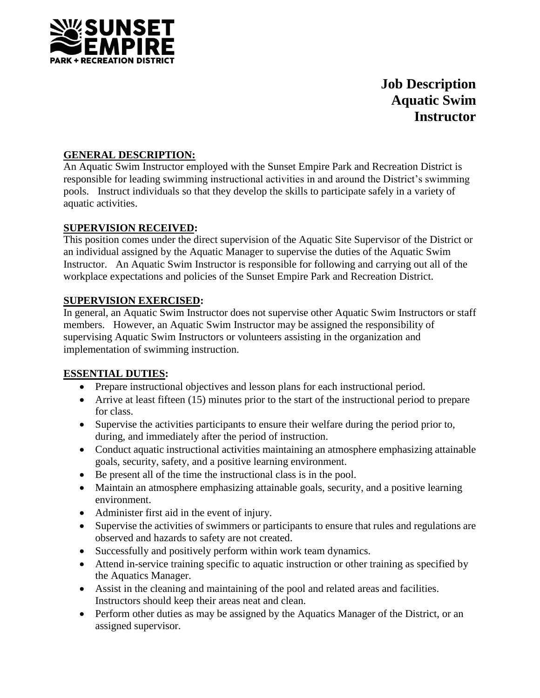

# **Job Description Aquatic Swim Instructor**

# **GENERAL DESCRIPTION:**

An Aquatic Swim Instructor employed with the Sunset Empire Park and Recreation District is responsible for leading swimming instructional activities in and around the District's swimming pools. Instruct individuals so that they develop the skills to participate safely in a variety of aquatic activities.

# **SUPERVISION RECEIVED:**

This position comes under the direct supervision of the Aquatic Site Supervisor of the District or an individual assigned by the Aquatic Manager to supervise the duties of the Aquatic Swim Instructor. An Aquatic Swim Instructor is responsible for following and carrying out all of the workplace expectations and policies of the Sunset Empire Park and Recreation District.

# **SUPERVISION EXERCISED:**

In general, an Aquatic Swim Instructor does not supervise other Aquatic Swim Instructors or staff members. However, an Aquatic Swim Instructor may be assigned the responsibility of supervising Aquatic Swim Instructors or volunteers assisting in the organization and implementation of swimming instruction.

## **ESSENTIAL DUTIES:**

- Prepare instructional objectives and lesson plans for each instructional period.
- Arrive at least fifteen (15) minutes prior to the start of the instructional period to prepare for class.
- Supervise the activities participants to ensure their welfare during the period prior to, during, and immediately after the period of instruction.
- Conduct aquatic instructional activities maintaining an atmosphere emphasizing attainable goals, security, safety, and a positive learning environment.
- Be present all of the time the instructional class is in the pool.
- Maintain an atmosphere emphasizing attainable goals, security, and a positive learning environment.
- Administer first aid in the event of injury.
- Supervise the activities of swimmers or participants to ensure that rules and regulations are observed and hazards to safety are not created.
- Successfully and positively perform within work team dynamics.
- Attend in-service training specific to aquatic instruction or other training as specified by the Aquatics Manager.
- Assist in the cleaning and maintaining of the pool and related areas and facilities. Instructors should keep their areas neat and clean.
- Perform other duties as may be assigned by the Aquatics Manager of the District, or an assigned supervisor.